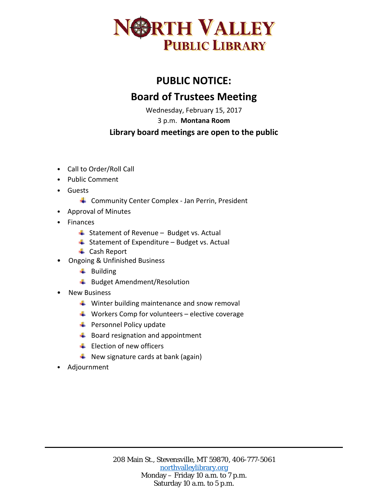

## **PUBLIC NOTICE: Board of Trustees Meeting**

Wednesday, February 15, 2017

3 p.m. **Montana Room**

## **Library board meetings are open to the public**

- Call to Order/Roll Call
- Public Comment
- Guests
	- Community Center Complex Jan Perrin, President
- Approval of Minutes
- **Finances** 
	- $\overline{\phantom{a}}$  Statement of Revenue Budget vs. Actual
	- $\ddot{ }$  Statement of Expenditure Budget vs. Actual
	- **↓** Cash Report
- Ongoing & Unfinished Business
	- $\leftarrow$  Building
	- Budget Amendment/Resolution
- New Business
	- $\ddot{\phantom{1}}$  Winter building maintenance and snow removal
	- $\downarrow$  Workers Comp for volunteers elective coverage
	- $\bigstar$  Personnel Policy update
	- $\bigstar$  Board resignation and appointment
	- $\pm$  Flection of new officers
	- $\downarrow$  New signature cards at bank (again)
- Adjournment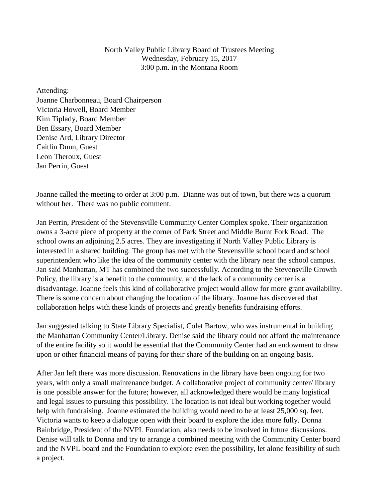North Valley Public Library Board of Trustees Meeting Wednesday, February 15, 2017 3:00 p.m. in the Montana Room

Attending: Joanne Charbonneau, Board Chairperson Victoria Howell, Board Member Kim Tiplady, Board Member Ben Essary, Board Member Denise Ard, Library Director Caitlin Dunn, Guest Leon Theroux, Guest Jan Perrin, Guest

Joanne called the meeting to order at 3:00 p.m. Dianne was out of town, but there was a quorum without her. There was no public comment.

Jan Perrin, President of the Stevensville Community Center Complex spoke. Their organization owns a 3-acre piece of property at the corner of Park Street and Middle Burnt Fork Road. The school owns an adjoining 2.5 acres. They are investigating if North Valley Public Library is interested in a shared building. The group has met with the Stevensville school board and school superintendent who like the idea of the community center with the library near the school campus. Jan said Manhattan, MT has combined the two successfully. According to the Stevensville Growth Policy, the library is a benefit to the community, and the lack of a community center is a disadvantage. Joanne feels this kind of collaborative project would allow for more grant availability. There is some concern about changing the location of the library. Joanne has discovered that collaboration helps with these kinds of projects and greatly benefits fundraising efforts.

Jan suggested talking to State Library Specialist, Colet Bartow, who was instrumental in building the Manhattan Community Center/Library. Denise said the library could not afford the maintenance of the entire facility so it would be essential that the Community Center had an endowment to draw upon or other financial means of paying for their share of the building on an ongoing basis.

After Jan left there was more discussion. Renovations in the library have been ongoing for two years, with only a small maintenance budget. A collaborative project of community center/ library is one possible answer for the future; however, all acknowledged there would be many logistical and legal issues to pursuing this possibility. The location is not ideal but working together would help with fundraising. Joanne estimated the building would need to be at least 25,000 sq. feet. Victoria wants to keep a dialogue open with their board to explore the idea more fully. Donna Bainbridge, President of the NVPL Foundation, also needs to be involved in future discussions. Denise will talk to Donna and try to arrange a combined meeting with the Community Center board and the NVPL board and the Foundation to explore even the possibility, let alone feasibility of such a project.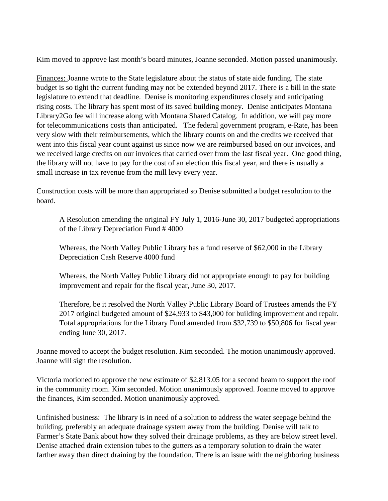Kim moved to approve last month's board minutes, Joanne seconded. Motion passed unanimously.

Finances: Joanne wrote to the State legislature about the status of state aide funding. The state budget is so tight the current funding may not be extended beyond 2017. There is a bill in the state legislature to extend that deadline. Denise is monitoring expenditures closely and anticipating rising costs. The library has spent most of its saved building money. Denise anticipates Montana Library2Go fee will increase along with Montana Shared Catalog. In addition, we will pay more for telecommunications costs than anticipated. The federal government program, e-Rate, has been very slow with their reimbursements, which the library counts on and the credits we received that went into this fiscal year count against us since now we are reimbursed based on our invoices, and we received large credits on our invoices that carried over from the last fiscal year. One good thing, the library will not have to pay for the cost of an election this fiscal year, and there is usually a small increase in tax revenue from the mill levy every year.

Construction costs will be more than appropriated so Denise submitted a budget resolution to the board.

A Resolution amending the original FY July 1, 2016-June 30, 2017 budgeted appropriations of the Library Depreciation Fund # 4000

Whereas, the North Valley Public Library has a fund reserve of \$62,000 in the Library Depreciation Cash Reserve 4000 fund

Whereas, the North Valley Public Library did not appropriate enough to pay for building improvement and repair for the fiscal year, June 30, 2017.

Therefore, be it resolved the North Valley Public Library Board of Trustees amends the FY 2017 original budgeted amount of \$24,933 to \$43,000 for building improvement and repair. Total appropriations for the Library Fund amended from \$32,739 to \$50,806 for fiscal year ending June 30, 2017.

Joanne moved to accept the budget resolution. Kim seconded. The motion unanimously approved. Joanne will sign the resolution.

Victoria motioned to approve the new estimate of \$2,813.05 for a second beam to support the roof in the community room. Kim seconded. Motion unanimously approved. Joanne moved to approve the finances, Kim seconded. Motion unanimously approved.

Unfinished business: The library is in need of a solution to address the water seepage behind the building, preferably an adequate drainage system away from the building. Denise will talk to Farmer's State Bank about how they solved their drainage problems, as they are below street level. Denise attached drain extension tubes to the gutters as a temporary solution to drain the water farther away than direct draining by the foundation. There is an issue with the neighboring business